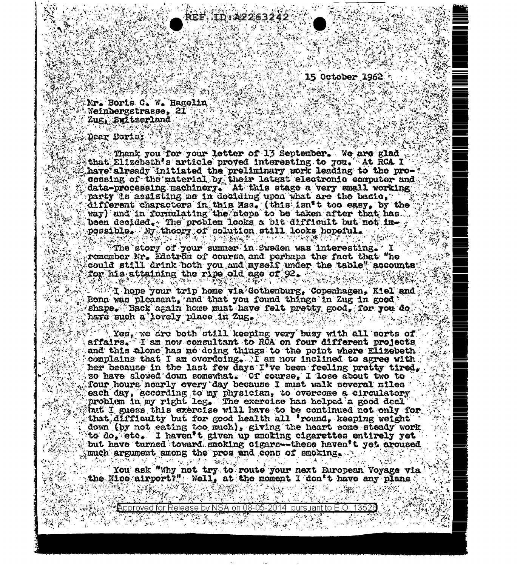15 October 1962 h

Mr. Boris C. W. Hagelin. Weinbergstrasse, 21 Test Zug, Switzerland

## Dear Boris:

Thank you for your letter of 13 September. We are glad that Elizebeth's article proved interesting to you. At RCA I have already initiated the preliminary work leading to the processing of the material by their latest electronic computer and data-processing machinery. At this stage a very small working party is assisting me in deciding upon what are the basic, different characters in this Mss. (this isn't too easy, by the way) and in formulating the steps to be taken after that has... been decided. The problem looks a bit difficult but not im-

ID:A2263242

The story of your summer in Sweden was interesting. I remember Mr. Edström of course and perhaps the fact that "he" could still drink both you and myself under the table" accounts; for his attaining the ripe old age of 92.

 $\sim$  (T hope your trip home via Gothenburg, Copenhagen, Kiel and  $\sim$ Bonn was pleasant, and that you found things in Zug in good shape. Back again home must have felt pretty good, for you do have such a lovely place in Zug.

 $^{\circ}$  Yes. we are both still keeping very busy with all sorts of affairs. I am now consultant to RCA on four different projects and this alone has me doing things to the point where Elizebeth compleins that I am overdoing. I am now inclined to agree with her because in the last few days I've been feeling pretty tired. so have slowed down somewhat. Of course, I lose about two to four hours nearly every day because I must walk several miles each day, according to my physician, to overcome a circulatory problem in my right leg. The exercise has helped a good deal but I guess this exercise will have to be continued not only for that difficulty but for good health all 'round, keeping weight down (by not eating too much), giving the heart some steady work to  $d\mathbf{o}_*$  etc. I haven't given up smoling cigarettes entirely yet but have turned toward smoking cigars--these haven't yet aroused much argument among the pros and cons of smoking. (HETAA) 1242 (2010)  $\mathcal{H}^{\mathcal{A}}$  , where  $\mathcal{H}^{\mathcal{A}}$ (세계 All State State State)

You ask "Why not try to route your next European Voyage via" the Nice airport?" Well, at the moment I don't have any plans

Approved for Release by NSA .on 08-05-2014